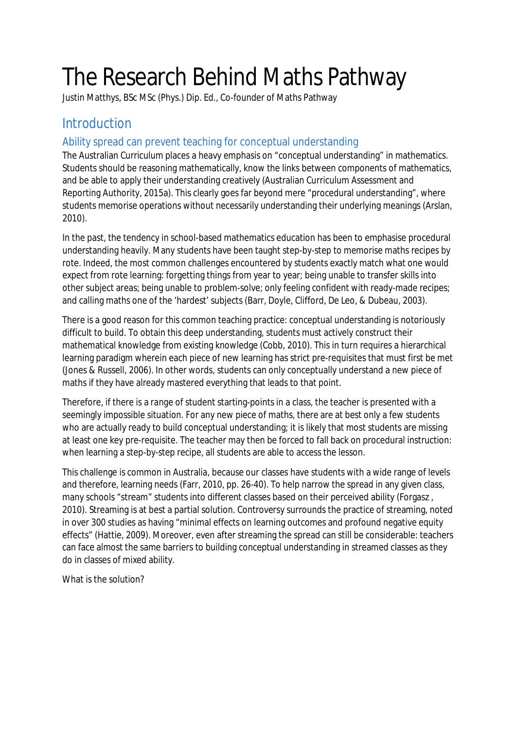# The Research Behind Maths Pathway

Justin Matthys, BSc MSc (Phys.) Dip. Ed., Co-founder of Maths Pathway

# **Introduction**

## Ability spread can prevent teaching for conceptual understanding

The Australian Curriculum places a heavy emphasis on "conceptual understanding" in mathematics. Students should be reasoning mathematically, know the links between components of mathematics, and be able to apply their understanding creatively (Australian Curriculum Assessment and Reporting Authority, 2015a). This clearly goes far beyond mere "procedural understanding", where students memorise operations without necessarily understanding their underlying meanings (Arslan, 2010).

In the past, the tendency in school-based mathematics education has been to emphasise procedural understanding heavily. Many students have been taught step-by-step to memorise maths recipes by rote. Indeed, the most common challenges encountered by students exactly match what one would expect from rote learning: forgetting things from year to year; being unable to transfer skills into other subject areas; being unable to problem-solve; only feeling confident with ready-made recipes; and calling maths one of the 'hardest' subjects (Barr, Doyle, Clifford, De Leo, & Dubeau, 2003).

There is a good reason for this common teaching practice: conceptual understanding is notoriously difficult to build. To obtain this deep understanding, students must actively construct their mathematical knowledge from existing knowledge (Cobb, 2010). This in turn requires a hierarchical learning paradigm wherein each piece of new learning has strict pre-requisites that must first be met (Jones & Russell, 2006). In other words, students can only conceptually understand a new piece of maths if they have already mastered everything that leads to that point.

Therefore, if there is a *range* of student starting-points in a class, the teacher is presented with a seemingly impossible situation. For any new piece of maths, there are at best only a few students who are actually ready to build conceptual understanding; it is likely that most students are missing at least one key pre-requisite. The teacher may then be forced to fall back on procedural instruction: when learning a step-by-step recipe, all students are able to access the lesson.

This challenge is common in Australia, because our classes have students with a wide range of levels and therefore, learning needs (Farr, 2010, pp. 26-40). To help narrow the spread in any given class, many schools "stream" students into different classes based on their perceived ability (Forgasz, 2010). Streaming is at best a partial solution. Controversy surrounds the practice of streaming, noted in over 300 studies as having "minimal effects on learning outcomes and profound negative equity effects" (Hattie, 2009). Moreover, even after streaming the spread can still be considerable: teachers can face almost the same barriers to building conceptual understanding in streamed classes as they do in classes of mixed ability.

What is the solution?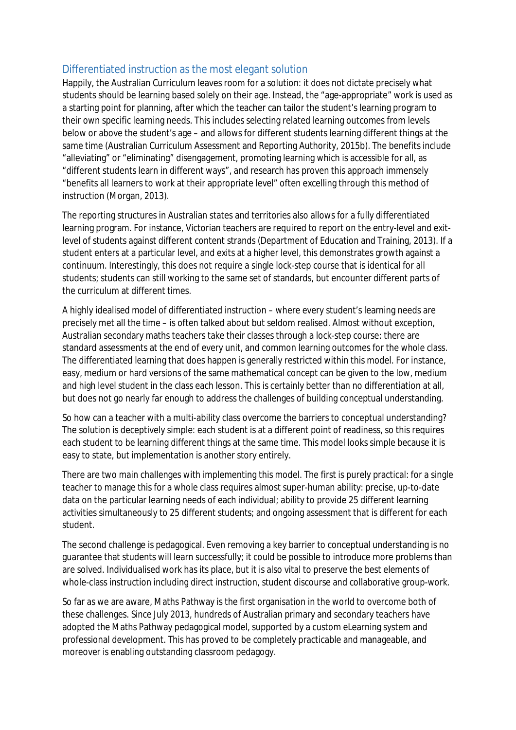#### Differentiated instruction as the most elegant solution

Happily, the Australian Curriculum leaves room for a solution: it does not dictate precisely what students should be learning based solely on their age. Instead, the "age-appropriate" work is used as a starting point for planning, after which the teacher can tailor the student's learning program to their own specific learning needs. This includes selecting related learning outcomes from levels below or above the student's age – and allows for different students learning different things at the same time (Australian Curriculum Assessment and Reporting Authority, 2015b). The benefits include "alleviating" or "eliminating" disengagement, promoting learning which is accessible for all, as "different students learn in different ways", and research has proven this approach immensely "benefits all learners to work at their appropriate level" often excelling through this method of instruction (Morgan, 2013).

The reporting structures in Australian states and territories also allows for a fully differentiated learning program. For instance, Victorian teachers are required to report on the entry-level and exitlevel of students against different content strands (Department of Education and Training, 2013). If a student enters at a particular level, and exits at a higher level, this demonstrates growth against a continuum. Interestingly, this does *not* require a single lock-step course that is identical for all students; students can still working to the same set of standards, but encounter different parts of the curriculum at different times.

A highly idealised model of differentiated instruction – where every student's learning needs are precisely met all the time – is often talked about but seldom realised. Almost without exception, Australian secondary maths teachers take their classes through a lock-step course: there are standard assessments at the end of every unit, and common learning outcomes for the whole class. The differentiated learning that does happen is generally restricted within this model. For instance, easy, medium or hard versions of the same mathematical concept can be given to the low, medium and high level student in the class each lesson. This is certainly better than no differentiation at all, but does not go nearly far enough to address the challenges of building conceptual understanding.

So how can a teacher with a multi-ability class overcome the barriers to conceptual understanding? The solution is deceptively simple: each student is at a different point of readiness, so this requires each student to be learning different things at the same time. This model looks simple because it is easy to state, but implementation is another story entirely.

There are two main challenges with implementing this model. The first is purely practical: for a single teacher to manage this for a whole class requires almost super-human ability: precise, up-to-date data on the particular learning needs of each individual; ability to provide 25 different learning activities simultaneously to 25 different students; and ongoing assessment that is different for each student.

The second challenge is pedagogical. Even removing a key barrier to conceptual understanding is no guarantee that students will learn successfully; it could be possible to introduce more problems than are solved. Individualised work has its place, but it is also vital to preserve the best elements of whole-class instruction including direct instruction, student discourse and collaborative group-work.

So far as we are aware, Maths Pathway is the first organisation in the world to overcome both of these challenges. Since July 2013, hundreds of Australian primary and secondary teachers have adopted the Maths Pathway pedagogical model, supported by a custom eLearning system and professional development. This has proved to be completely practicable and manageable, and moreover is enabling outstanding classroom pedagogy.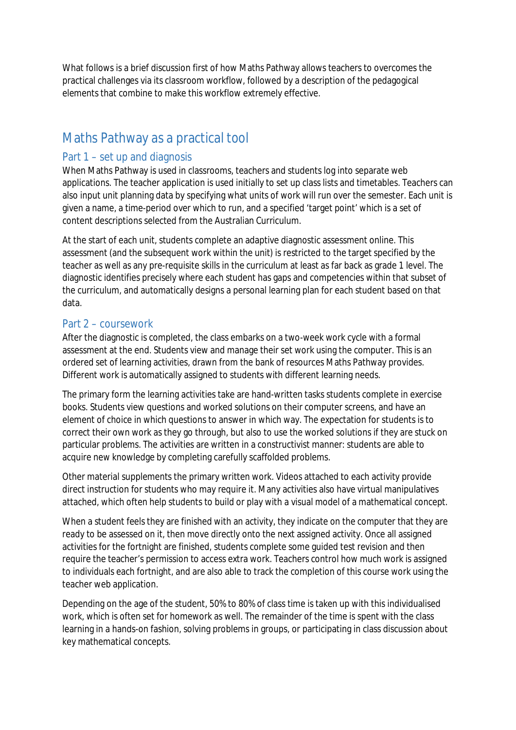What follows is a brief discussion first of how Maths Pathway allows teachers to overcomes the practical challenges via its classroom workflow, followed by a description of the pedagogical elements that combine to make this workflow extremely effective.

# Maths Pathway as a practical tool

#### Part 1 – set up and diagnosis

When Maths Pathway is used in classrooms, teachers and students log into separate web applications. The teacher application is used initially to set up class lists and timetables. Teachers can also input unit planning data by specifying what units of work will run over the semester. Each unit is given a name, a time-period over which to run, and a specified 'target point' which is a set of content descriptions selected from the Australian Curriculum.

At the start of each unit, students complete an adaptive diagnostic assessment online. This assessment (and the subsequent work within the unit) is restricted to the target specified by the teacher as well as any pre-requisite skills in the curriculum at least as far back as grade 1 level. The diagnostic identifies precisely where each student has gaps and competencies within that subset of the curriculum, and automatically designs a personal learning plan for each student based on that data.

#### Part 2 – coursework

After the diagnostic is completed, the class embarks on a two-week work cycle with a formal assessment at the end. Students view and manage their set work using the computer. This is an ordered set of learning activities, drawn from the bank of resources Maths Pathway provides. Different work is automatically assigned to students with different learning needs.

The primary form the learning activities take are hand-written tasks students complete in exercise books. Students view questions and worked solutions on their computer screens, and have an element of choice in which questions to answer in which way. The expectation for students is to correct their own work as they go through, but also to use the worked solutions if they are stuck on particular problems. The activities are written in a constructivist manner: students are able to acquire new knowledge by completing carefully scaffolded problems.

Other material supplements the primary written work. Videos attached to each activity provide direct instruction for students who may require it. Many activities also have virtual manipulatives attached, which often help students to build or play with a visual model of a mathematical concept.

When a student feels they are finished with an activity, they indicate on the computer that they are ready to be assessed on it, then move directly onto the next assigned activity. Once all assigned activities for the fortnight are finished, students complete some guided test revision and then require the teacher's permission to access extra work. Teachers control how much work is assigned to individuals each fortnight, and are also able to track the completion of this course work using the teacher web application.

Depending on the age of the student, 50% to 80% of class time is taken up with this individualised work, which is often set for homework as well. The remainder of the time is spent with the class learning in a hands-on fashion, solving problems in groups, or participating in class discussion about key mathematical concepts.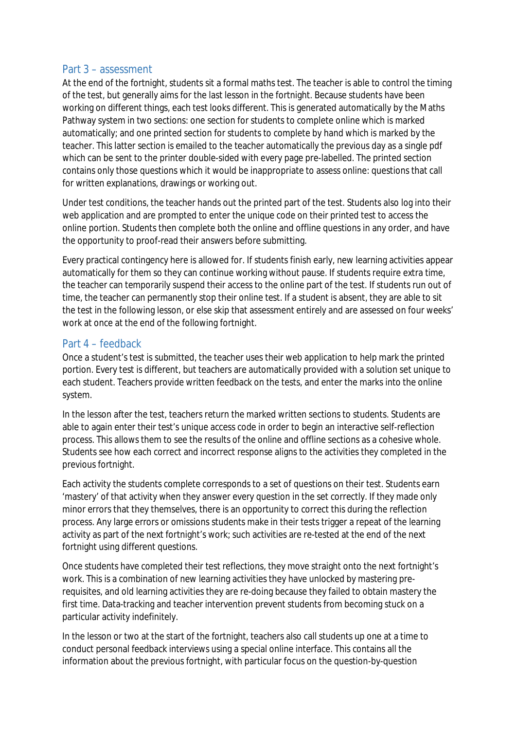#### Part 3 – assessment

At the end of the fortnight, students sit a formal maths test. The teacher is able to control the timing of the test, but generally aims for the last lesson in the fortnight. Because students have been working on different things, each test looks different. This is generated automatically by the Maths Pathway system in two sections: one section for students to complete online which is marked automatically; and one printed section for students to complete by hand which is marked by the teacher. This latter section is emailed to the teacher automatically the previous day as a single pdf which can be sent to the printer double-sided with every page pre-labelled. The printed section contains only those questions which it would be inappropriate to assess online: questions that call for written explanations, drawings or working out.

Under test conditions, the teacher hands out the printed part of the test. Students also log into their web application and are prompted to enter the unique code on their printed test to access the online portion. Students then complete both the online and offline questions in any order, and have the opportunity to proof-read their answers before submitting.

Every practical contingency here is allowed for. If students finish early, new learning activities appear automatically for them so they can continue working without pause. If students require extra time, the teacher can temporarily suspend their access to the online part of the test. If students run out of time, the teacher can permanently stop their online test. If a student is absent, they are able to sit the test in the following lesson, or else skip that assessment entirely and are assessed on four weeks' work at once at the end of the following fortnight.

#### Part 4 – feedback

Once a student's test is submitted, the teacher uses their web application to help mark the printed portion. Every test is different, but teachers are automatically provided with a solution set unique to each student. Teachers provide written feedback on the tests, and enter the marks into the online system.

In the lesson after the test, teachers return the marked written sections to students. Students are able to again enter their test's unique access code in order to begin an interactive self-reflection process. This allows them to see the results of the online and offline sections as a cohesive whole. Students see how each correct and incorrect response aligns to the activities they completed in the previous fortnight.

Each activity the students complete corresponds to a set of questions on their test. Students earn 'mastery' of that activity when they answer every question in the set correctly. If they made only minor errors that they themselves, there is an opportunity to correct this during the reflection process. Any large errors or omissions students make in their tests trigger a repeat of the learning activity as part of the next fortnight's work; such activities are re-tested at the end of the next fortnight using different questions.

Once students have completed their test reflections, they move straight onto the next fortnight's work. This is a combination of new learning activities they have unlocked by mastering prerequisites, and old learning activities they are re-doing because they failed to obtain mastery the first time. Data-tracking and teacher intervention prevent students from becoming stuck on a particular activity indefinitely.

In the lesson or two at the start of the fortnight, teachers also call students up one at a time to conduct personal feedback interviews using a special online interface. This contains all the information about the previous fortnight, with particular focus on the question-by-question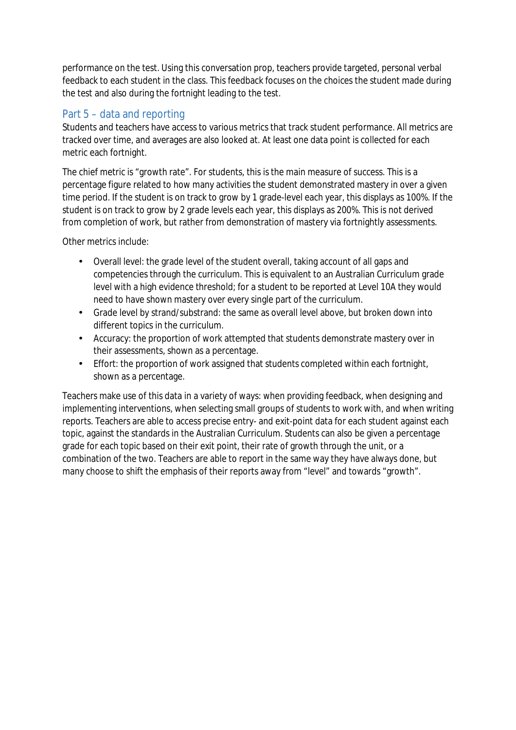performance on the test. Using this conversation prop, teachers provide targeted, personal verbal feedback to each student in the class. This feedback focuses on the choices the student made during the test and also during the fortnight leading to the test.

## Part 5 – data and reporting

Students and teachers have access to various metrics that track student performance. All metrics are tracked over time, and averages are also looked at. At least one data point is collected for each metric each fortnight.

The chief metric is "growth rate". For students, this is the main measure of success. This is a percentage figure related to how many activities the student demonstrated mastery in over a given time period. If the student is on track to grow by 1 grade-level each year, this displays as 100%. If the student is on track to grow by 2 grade levels each year, this displays as 200%. This is not derived from completion of work, but rather from demonstration of mastery via fortnightly assessments.

Other metrics include:

- Overall level: the grade level of the student overall, taking account of all gaps and competencies through the curriculum. This is equivalent to an Australian Curriculum grade level with a high evidence threshold; for a student to be reported at Level 10A they would need to have shown mastery over every single part of the curriculum.
- Grade level by strand/substrand: the same as overall level above, but broken down into  $\mathcal{L}^{(1)}$ different topics in the curriculum.
- Accuracy: the proportion of work attempted that students demonstrate mastery over in  $\mathcal{L}^{\text{max}}$ their assessments, shown as a percentage.
- $\mathcal{L}^{\text{max}}$ Effort: the proportion of work assigned that students completed within each fortnight, shown as a percentage.

Teachers make use of this data in a variety of ways: when providing feedback, when designing and implementing interventions, when selecting small groups of students to work with, and when writing reports. Teachers are able to access precise entry- and exit-point data for each student against each topic, against the standards in the Australian Curriculum. Students can also be given a percentage grade for each topic based on their exit point, their rate of growth through the unit, or a combination of the two. Teachers are able to report in the same way they have always done, but many choose to shift the emphasis of their reports away from "level" and towards "growth".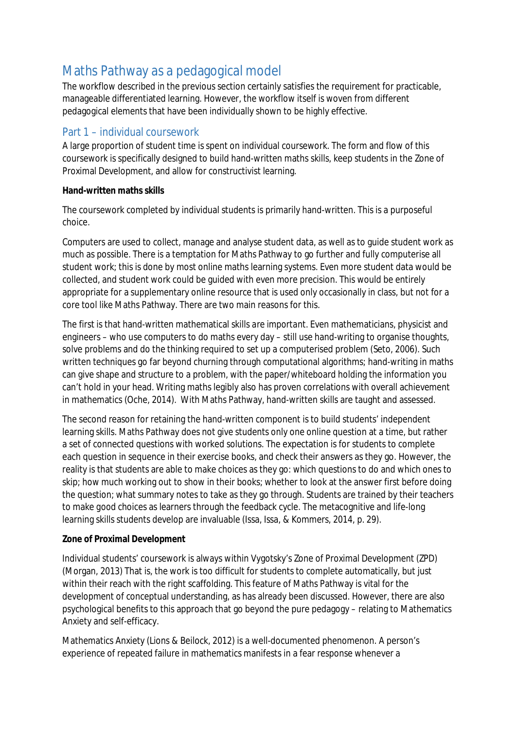# Maths Pathway as a pedagogical model

The workflow described in the previous section certainly satisfies the requirement for practicable, manageable differentiated learning. However, the workflow itself is woven from different pedagogical elements that have been individually shown to be highly effective.

## Part 1 – individual coursework

A large proportion of student time is spent on individual coursework. The form and flow of this coursework is specifically designed to build hand-written maths skills, keep students in the Zone of Proximal Development, and allow for constructivist learning.

#### **Hand-written maths skills**

The coursework completed by individual students is primarily hand-written. This is a purposeful choice.

Computers are used to collect, manage and analyse student data, as well as to guide student work as much as possible. There is a temptation for Maths Pathway to go further and fully computerise all student work; this is done by most online maths learning systems. Even more student data would be collected, and student work could be guided with even more precision. This would be entirely appropriate for a supplementary online resource that is used only occasionally in class, but not for a core tool like Maths Pathway. There are two main reasons for this.

The first is that hand-written mathematical skills *are important*. Even mathematicians, physicist and engineers – who use computers to do maths every day – still use hand-writing to organise thoughts, solve problems and do the thinking required to set up a computerised problem (Seto, 2006). Such written techniques go far beyond churning through computational algorithms; hand-writing in maths can give shape and structure to a problem, with the paper/whiteboard holding the information you can't hold in your head. Writing maths legibly also has proven correlations with overall achievement in mathematics (Oche, 2014). With Maths Pathway, hand-written skills are taught and assessed.

The second reason for retaining the hand-written component is to build students' independent learning skills. Maths Pathway does not give students only one online question at a time, but rather a set of connected questions with worked solutions. The expectation is for students to complete each question in sequence in their exercise books, and check their answers as they go. However, the reality is that students are able to make choices as they go: which questions to do and which ones to skip; how much working out to show in their books; whether to look at the answer first before doing the question; what summary notes to take as they go through. Students are trained by their teachers to make *good* choices as learners through the feedback cycle. The metacognitive and life-long learning skills students develop are invaluable (Issa, Issa, & Kommers, 2014, p. 29).

#### **Zone of Proximal Development**

Individual students' coursework is always within Vygotsky's Zone of Proximal Development (ZPD) (Morgan, 2013) That is, the work is too difficult for students to complete automatically, but just within their reach with the right scaffolding. This feature of Maths Pathway is vital for the development of conceptual understanding, as has already been discussed. However, there are also psychological benefits to this approach that go beyond the pure pedagogy – relating to Mathematics Anxiety and self-efficacy.

Mathematics Anxiety (Lions & Beilock, 2012) is a well-documented phenomenon. A person's experience of repeated failure in mathematics manifests in a fear response whenever a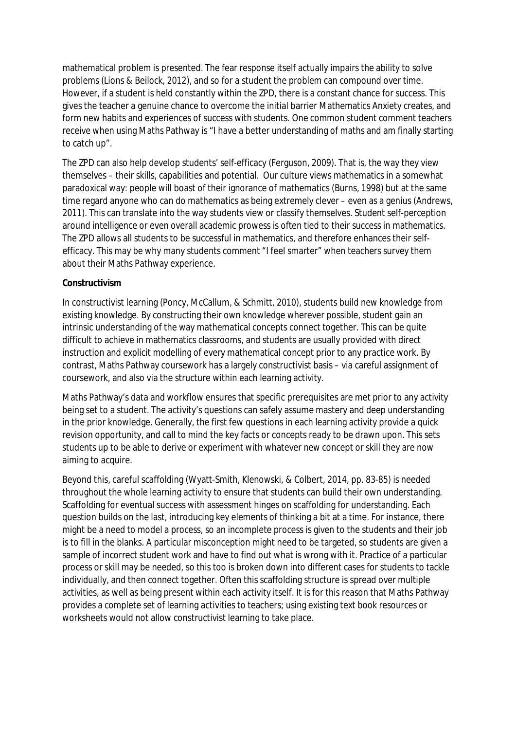mathematical problem is presented. The fear response itself actually impairs the ability to solve problems (Lions & Beilock, 2012), and so for a student the problem can compound over time. However, if a student is held constantly within the ZPD, there is a constant chance for success. This gives the teacher a genuine chance to overcome the initial barrier Mathematics Anxiety creates, and form new habits and experiences of success with students. One common student comment teachers receive when using Maths Pathway is "I have a better understanding of maths and am finally starting to catch up".

The ZPD can also help develop students' self-efficacy (Ferguson, 2009). That is, the way they view themselves – their skills, capabilities and potential. Our culture views mathematics in a somewhat paradoxical way: people will boast of their ignorance of mathematics (Burns, 1998) but at the same time regard anyone who *can* do mathematics as being extremely clever – even as a genius (Andrews, 2011). This can translate into the way students view or classify themselves. Student self-perception around intelligence or even overall academic prowess is often tied to their success in mathematics. The ZPD allows all students to be successful in mathematics, and therefore enhances their selfefficacy. This may be why many students comment "I feel smarter" when teachers survey them about their Maths Pathway experience.

#### **Constructivism**

In constructivist learning (Poncy, McCallum, & Schmitt, 2010), students build new knowledge from existing knowledge. By constructing their own knowledge wherever possible, student gain an intrinsic understanding of the way mathematical concepts connect together. This can be quite difficult to achieve in mathematics classrooms, and students are usually provided with direct instruction and explicit modelling of every mathematical concept prior to any practice work. By contrast, Maths Pathway coursework has a largely constructivist basis – via careful assignment of coursework, and also via the structure within each learning activity.

Maths Pathway's data and workflow ensures that specific prerequisites are met prior to any activity being set to a student. The activity's questions can safely assume mastery and deep understanding in the prior knowledge. Generally, the first few questions in each learning activity provide a quick revision opportunity, and call to mind the key facts or concepts ready to be drawn upon. This sets students up to be able to derive or experiment with whatever *new* concept or skill they are now aiming to acquire.

Beyond this, careful scaffolding (Wyatt-Smith, Klenowski, & Colbert, 2014, pp. 83-85) is needed throughout the whole learning activity to ensure that students can build their own understanding. Scaffolding for eventual success with assessment hinges on scaffolding for understanding. Each question builds on the last, introducing key elements of thinking a bit at a time. For instance, there might be a need to model a process, so an incomplete process is given to the students and their job is to fill in the blanks. A particular misconception might need to be targeted, so students are given a sample of incorrect student work and have to find out what is wrong with it. Practice of a particular process or skill may be needed, so this too is broken down into different cases for students to tackle individually, and then connect together. Often this scaffolding structure is spread over multiple activities, as well as being present within each activity itself. It is for this reason that Maths Pathway provides a complete set of learning activities to teachers; using existing text book resources or worksheets would not allow constructivist learning to take place.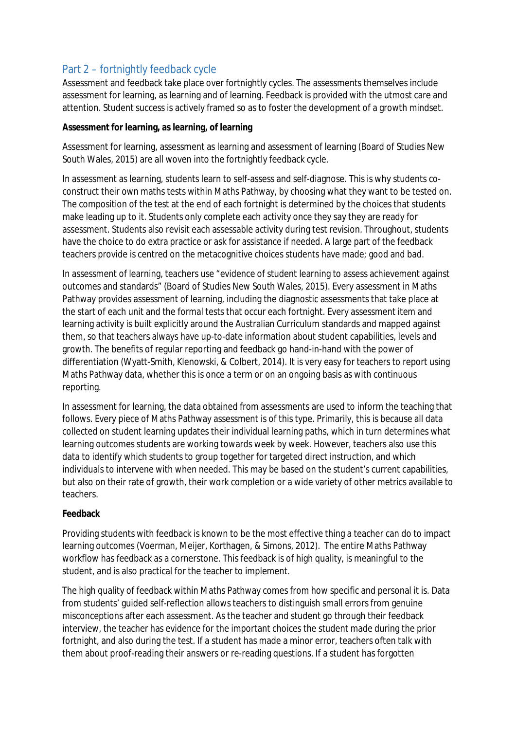#### Part 2 – fortnightly feedback cycle

Assessment and feedback take place over fortnightly cycles. The assessments themselves include assessment for learning, as learning and of learning. Feedback is provided with the utmost care and attention. Student success is actively framed so as to foster the development of a growth mindset.

#### **Assessment for learning, as learning, of learning**

Assessment for learning, assessment as learning and assessment of learning (Board of Studies New South Wales, 2015) are all woven into the fortnightly feedback cycle.

In assessment as learning, students learn to self-assess and self-diagnose. This is why students coconstruct their own maths tests within Maths Pathway, by choosing what they want to be tested on. The composition of the test at the end of each fortnight is determined by the choices that students make leading up to it. Students only complete each activity once they say they are ready for assessment. Students also revisit each assessable activity during test revision. Throughout, students have the choice to do extra practice or ask for assistance if needed. A large part of the feedback teachers provide is centred on the metacognitive choices students have made; good and bad.

In assessment of learning, teachers use "evidence of student learning to assess achievement against outcomes and standards" (Board of Studies New South Wales, 2015). Every assessment in Maths Pathway provides assessment of learning, including the diagnostic assessments that take place at the start of each unit and the formal tests that occur each fortnight. Every assessment item and learning activity is built explicitly around the Australian Curriculum standards and mapped against them, so that teachers always have up-to-date information about student capabilities, levels and growth. The benefits of regular reporting and feedback go hand-in-hand with the power of differentiation (Wyatt-Smith, Klenowski, & Colbert, 2014). It is very easy for teachers to report using Maths Pathway data, whether this is once a term or on an ongoing basis as with continuous reporting.

In assessment for learning, the data obtained from assessments are used to inform the teaching that follows. Every piece of Maths Pathway assessment is of this type. Primarily, this is because all data collected on student learning updates their individual learning paths, which in turn determines what learning outcomes students are working towards week by week. However, teachers also use this data to identify which students to group together for targeted direct instruction, and which individuals to intervene with when needed. This may be based on the student's current capabilities, but also on their rate of growth, their work completion or a wide variety of other metrics available to teachers.

#### **Feedback**

Providing students with feedback is known to be the most effective thing a teacher can do to impact learning outcomes (Voerman, Meijer, Korthagen, & Simons, 2012). The entire Maths Pathway workflow has feedback as a cornerstone. This feedback is of high quality, is meaningful to the student, and is also practical for the teacher to implement.

The high quality of feedback within Maths Pathway comes from how specific and personal it is. Data from students' guided self-reflection allows teachers to distinguish small errors from genuine misconceptions after each assessment. As the teacher and student go through their feedback interview, the teacher has evidence for the important choices the student made during the prior fortnight, and also during the test. If a student has made a minor error, teachers often talk with them about proof-reading their answers or re-reading questions. If a student has forgotten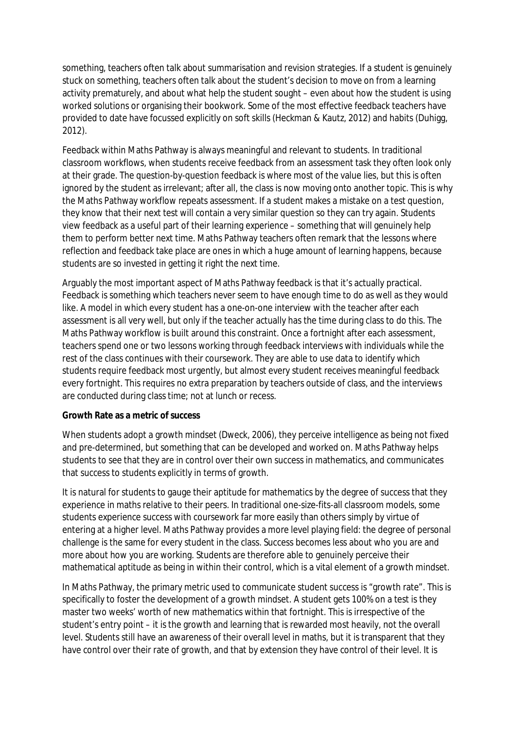something, teachers often talk about summarisation and revision strategies. If a student is genuinely stuck on something, teachers often talk about the student's decision to move on from a learning activity prematurely, and about what help the student sought – even about how the student is using worked solutions or organising their bookwork. Some of the most effective feedback teachers have provided to date have focussed explicitly on soft skills (Heckman & Kautz, 2012) and habits (Duhigg, 2012).

Feedback within Maths Pathway is always meaningful and relevant to students. In traditional classroom workflows, when students receive feedback from an assessment task they often look only at their grade. The question-by-question feedback is where most of the value lies, but this is often ignored by the student as irrelevant; after all, the class is now moving onto another topic. This is why the Maths Pathway workflow repeats assessment. If a student makes a mistake on a test question, they know that their next test will contain a very similar question so they can try again. Students view feedback as a useful part of their learning experience – something that will genuinely help them to perform better next time. Maths Pathway teachers often remark that the lessons where reflection and feedback take place are ones in which a huge amount of learning happens, because students are so invested in getting it right the *next* time.

Arguably the most important aspect of Maths Pathway feedback is that it's actually practical. Feedback is something which teachers never seem to have enough time to do as well as they would like. A model in which every student has a one-on-one interview with the teacher after each assessment is all very well, but only if the teacher actually has the time during class to do this. The Maths Pathway workflow is built around this constraint. Once a fortnight after each assessment, teachers spend one or two lessons working through feedback interviews with individuals while the rest of the class continues with their coursework. They are able to use data to identify which students require feedback most urgently, but almost every student receives meaningful feedback every fortnight. This requires no extra preparation by teachers outside of class, and the interviews are conducted during class time; not at lunch or recess.

#### **Growth Rate as a metric of success**

When students adopt a growth mindset (Dweck, 2006), they perceive intelligence as being not fixed and pre-determined, but something that can be developed and worked on. Maths Pathway helps students to see that they are in control over their own success in mathematics, and communicates that success to students explicitly in terms of growth.

It is natural for students to gauge their aptitude for mathematics by the degree of success that they experience in maths relative to their peers. In traditional one-size-fits-all classroom models, some students experience success with coursework far more easily than others simply by virtue of entering at a higher level. Maths Pathway provides a more level playing field: the degree of personal challenge is the same for every student in the class. Success becomes less about who you are and more about how you are working. Students are therefore able to genuinely perceive their mathematical aptitude as being in within their control, which is a vital element of a growth mindset.

In Maths Pathway, the primary metric used to communicate student success is "growth rate". This is specifically to foster the development of a growth mindset. A student gets 100% on a test is they master two weeks' worth of new mathematics within that fortnight. This is irrespective of the student's entry point – it is the growth and learning that is rewarded most heavily, not the overall level. Students still have an awareness of their overall level in maths, but it is transparent that they have control over their rate of growth, and that by extension they have control of their level. It is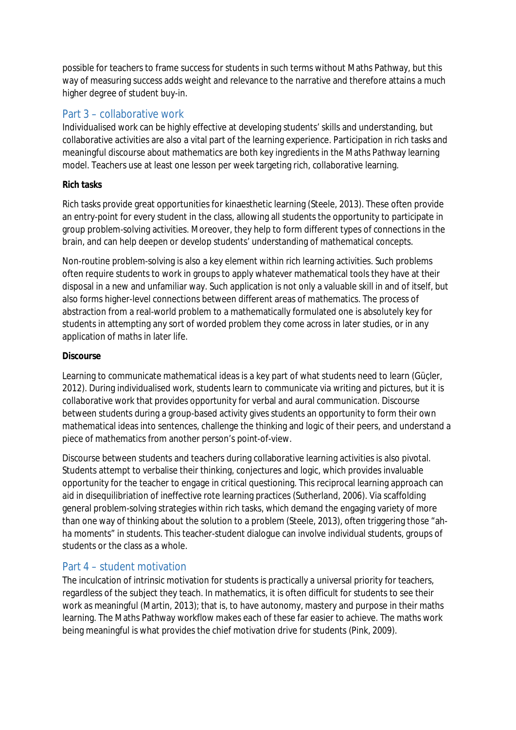possible for teachers to frame success for students in such terms without Maths Pathway, but this way of measuring success adds weight and relevance to the narrative and therefore attains a much higher degree of student buy-in.

### Part 3 – collaborative work

Individualised work can be highly effective at developing students' skills and understanding, but collaborative activities are also a vital part of the learning experience. Participation in rich tasks and meaningful discourse about mathematics are both key ingredients in the Maths Pathway learning model. Teachers use at least one lesson per week targeting rich, collaborative learning.

#### **Rich tasks**

Rich tasks provide great opportunities for kinaesthetic learning (Steele, 2013). These often provide an entry-point for every student in the class, allowing all students the opportunity to participate in group problem-solving activities. Moreover, they help to form different types of connections in the brain, and can help deepen or develop students' understanding of mathematical concepts.

Non-routine problem-solving is also a key element within rich learning activities. Such problems often require students to work in groups to apply whatever mathematical tools they have at their disposal in a new and unfamiliar way. Such application is not only a valuable skill in and of itself, but also forms higher-level connections between different areas of mathematics. The process of abstraction from a real-world problem to a mathematically formulated one is absolutely key for students in attempting any sort of worded problem they come across in later studies, or in any application of maths in later life.

#### **Discourse**

Learning to communicate mathematical ideas is a key part of what students need to learn (Güçler, 2012). During individualised work, students learn to communicate via writing and pictures, but it is collaborative work that provides opportunity for verbal and aural communication. Discourse between students during a group-based activity gives students an opportunity to form their own mathematical ideas into sentences, challenge the thinking and logic of their peers, and understand a piece of mathematics from another person's point-of-view.

Discourse between students and teachers during collaborative learning activities is also pivotal. Students attempt to verbalise their thinking, conjectures and logic, which provides invaluable opportunity for the teacher to engage in critical questioning. This reciprocal learning approach can aid in disequilibriation of ineffective rote learning practices (Sutherland, 2006). Via scaffolding general problem-solving strategies within rich tasks, which demand the engaging variety of more than one way of thinking about the solution to a problem (Steele, 2013), often triggering those "ahha moments" in students. This teacher-student dialogue can involve individual students, groups of students or the class as a whole.

#### Part 4 – student motivation

The inculcation of intrinsic motivation for students is practically a universal priority for teachers, regardless of the subject they teach. In mathematics, it is often difficult for students to see their work as meaningful (Martin, 2013); that is, to have autonomy, mastery and purpose in their maths learning. The Maths Pathway workflow makes each of these far easier to achieve. The maths work being meaningful is what provides the chief motivation drive for students (Pink, 2009).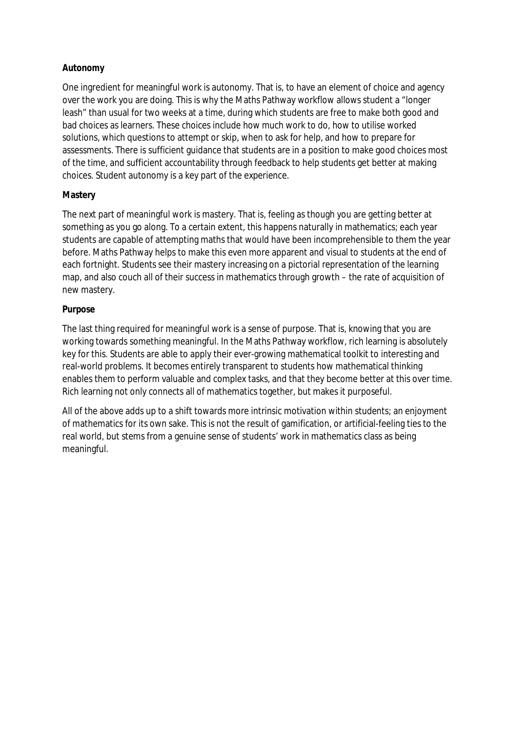#### **Autonomy**

One ingredient for meaningful work is autonomy. That is, to have an element of choice and agency over the work you are doing. This is why the Maths Pathway workflow allows student a "longer leash" than usual for two weeks at a time, during which students are free to make both good and bad choices as learners. These choices include how much work to do, how to utilise worked solutions, which questions to attempt or skip, when to ask for help, and how to prepare for assessments. There is sufficient guidance that students are in a position to make good choices most of the time, and sufficient accountability through feedback to help students get better at making choices. Student autonomy is a key part of the experience.

#### **Mastery**

The next part of meaningful work is mastery. That is, feeling as though you are getting better at something as you go along. To a certain extent, this happens naturally in mathematics; each year students are capable of attempting maths that would have been incomprehensible to them the year before. Maths Pathway helps to make this even more apparent and visual to students at the end of each fortnight. Students see their mastery increasing on a pictorial representation of the learning map, and also couch all of their success in mathematics through growth – the rate of acquisition of new mastery.

#### **Purpose**

The last thing required for meaningful work is a sense of purpose. That is, knowing that you are working towards something meaningful. In the Maths Pathway workflow, rich learning is absolutely key for this. Students are able to apply their ever-growing mathematical toolkit to interesting and real-world problems. It becomes entirely transparent to students how mathematical thinking enables them to perform valuable and complex tasks, and that they become better at this over time. Rich learning not only connects all of mathematics together, but makes it purposeful.

All of the above adds up to a shift towards more intrinsic motivation within students; an enjoyment of mathematics for its own sake. This is not the result of gamification, or artificial-feeling ties to the real world, but stems from a genuine sense of students' work in mathematics class as being meaningful.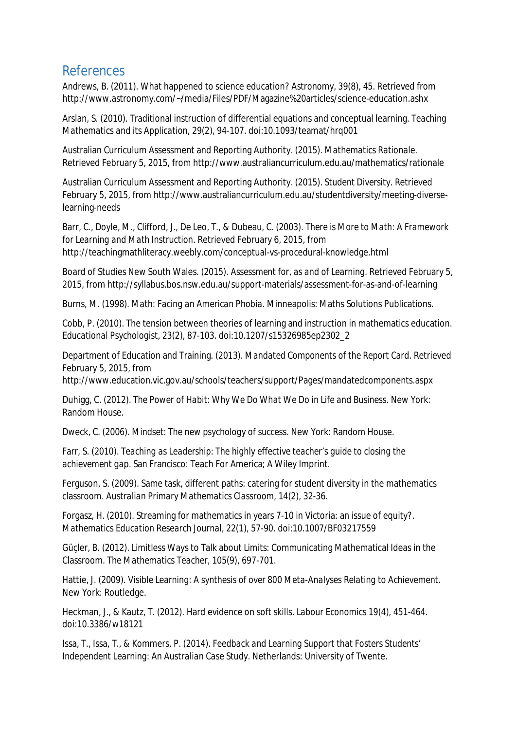# References

Andrews, B. (2011). What happened to science education? *Astronomy, 39*(8), 45. Retrieved from http://www.astronomy.com/~/media/Files/PDF/Magazine%20articles/science-education.ashx

Arslan, S. (2010). Traditional instruction of differential equations and conceptual learning. *Teaching Mathematics and its Application, 29*(2), 94-107. doi:10.1093/teamat/hrq001

Australian Curriculum Assessment and Reporting Authority. (2015). *Mathematics Rationale*. Retrieved February 5, 2015, from http://www.australiancurriculum.edu.au/mathematics/rationale

Australian Curriculum Assessment and Reporting Authority. (2015). *Student Diversity*. Retrieved February 5, 2015, from http://www.australiancurriculum.edu.au/studentdiversity/meeting-diverselearning-needs

Barr, C., Doyle, M., Clifford, J., De Leo, T., & Dubeau, C. (2003). *There is More to Math: A Framework for Learning and Math Instruction*. Retrieved February 6, 2015, from http://teachingmathliteracy.weebly.com/conceptual-vs-procedural-knowledge.html

Board of Studies New South Wales. (2015). *Assessment for, as and of Learning*. Retrieved February 5, 2015, from http://syllabus.bos.nsw.edu.au/support-materials/assessment-for-as-and-of-learning

Burns, M. (1998). *Math: Facing an American Phobia.* Minneapolis: Maths Solutions Publications.

Cobb, P. (2010). The tension between theories of learning and instruction in mathematics education. E*ducational Psychologist, 23*(2), 87-103. doi:10.1207/s15326985ep2302\_2

Department of Education and Training. (2013). *Mandated Components of the Report Card.* Retrieved February 5, 2015, from

http://www.education.vic.gov.au/schools/teachers/support/Pages/mandatedcomponents.aspx

Duhigg, C. (2012). *The Power of Habit: Why We Do What We Do in Life and Business.* New York: Random House.

Dweck, C. (2006). *Mindset: The new psychology of success.* New York: Random House.

Farr, S. (2010). *Teaching as Leadership: The highly effective teacher's guide to closing the achievement gap.* San Francisco: Teach For America; A Wiley Imprint.

Ferguson, S. (2009). Same task, different paths: catering for student diversity in the mathematics classroom. *Australian Primary Mathematics Classroom, 14*(2), 32-36.

Forgasz, H. (2010). Streaming for mathematics in years 7-10 in Victoria: an issue of equity?. *Mathematics Education Research Journal, 22*(1), 57-90. doi:10.1007/BF03217559

Güçler, B. (2012). Limitless Ways to Talk about Limits: Communicating Mathematical Ideas in the Classroom. *The Mathematics Teacher, 105*(9), 697-701.

Hattie, J. (2009). *Visible Learning: A synthesis of over 800 Meta-Analyses Relating to Achievement.* New York: Routledge.

Heckman, J., & Kautz, T. (2012). Hard evidence on soft skills. *Labour Economics 19*(4), 451-464. doi:10.3386/w18121

Issa, T., Issa, T., & Kommers, P. (2014). *Feedback and Learning Support that Fosters Students' Independent Learning: An Australian Case Study*. Netherlands: University of Twente.